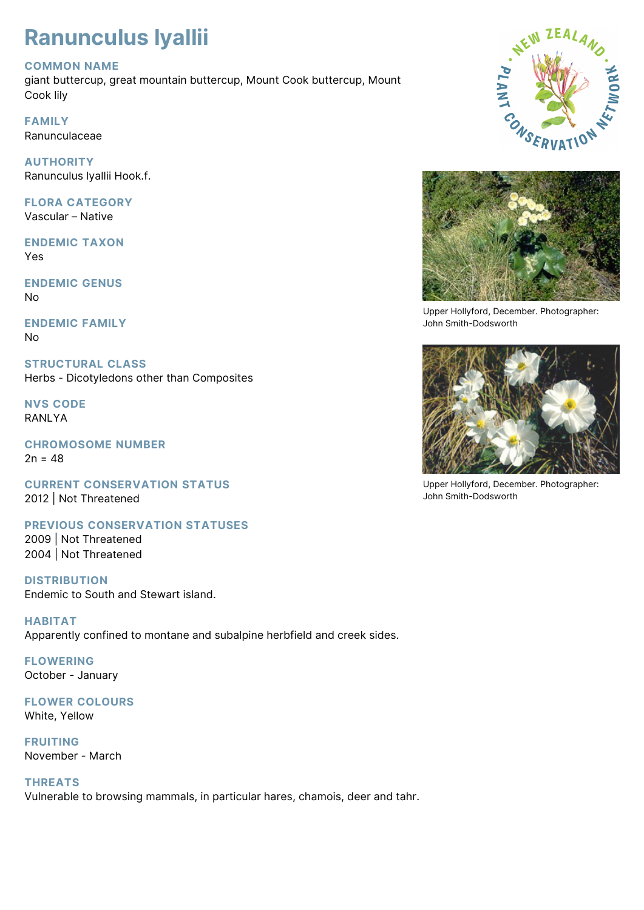## **Ranunculus lyallii**

## **COMMON NAME**

giant buttercup, great mountain buttercup, Mount Cook buttercup, Mount Cook lily

**FAMILY** Ranunculaceae

**AUTHORITY** Ranunculus lyallii Hook.f.

**FLORA CATEGORY** Vascular – Native

**ENDEMIC TAXON** Yes

**ENDEMIC GENUS** No

**ENDEMIC FAMILY** No

**STRUCTURAL CLASS** Herbs - Dicotyledons other than Composites

**NVS CODE** RANLYA

**CHROMOSOME NUMBER**  $2n = 48$ 

**CURRENT CONSERVATION STATUS** 2012 | Not Threatened

**PREVIOUS CONSERVATION STATUSES** 2009 | Not Threatened

2004 | Not Threatened

**DISTRIBUTION** Endemic to South and Stewart island.

**HABITAT** Apparently confined to montane and subalpine herbfield and creek sides.

**FLOWERING** October - January

**FLOWER COLOURS** White, Yellow

**FRUITING** November - March

**THREATS**

Vulnerable to browsing mammals, in particular hares, chamois, deer and tahr.





Upper Hollyford, December. Photographer: John Smith-Dodsworth



Upper Hollyford, December. Photographer: John Smith-Dodsworth